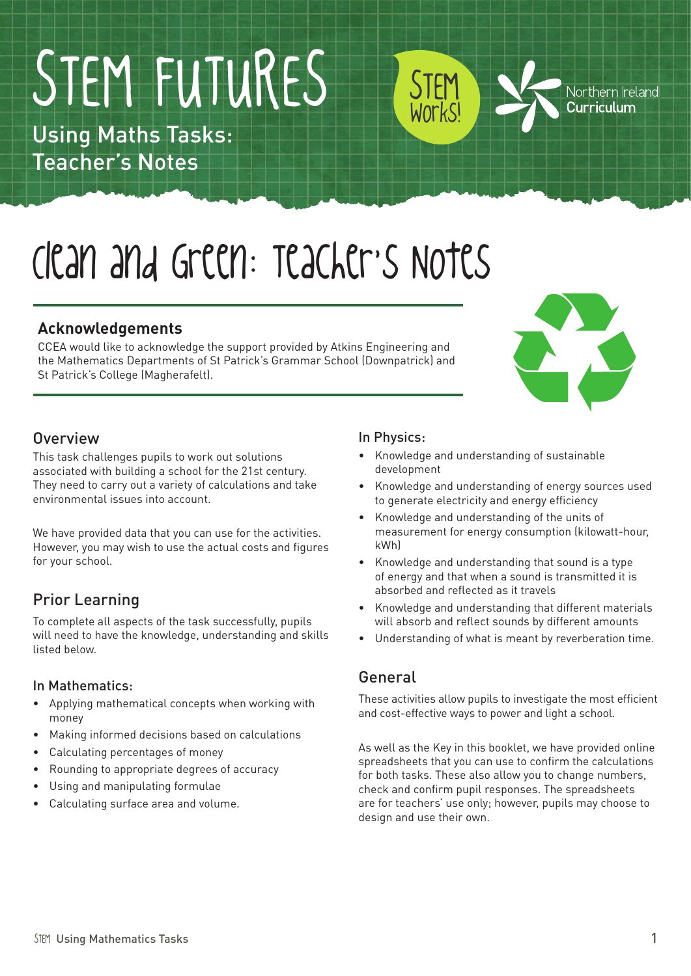# STEM FUTURES

Using Maths Tasks: Teacher's Notes

# Clean and Green: Teacher's Notes

### **Acknowledgements**

CCEA would like to acknowledge the support provided by Atkins Engineering and the Mathematics Departments of St Patrick's Grammar School (Downpatrick) and St Patrick's College (Magherafelt).



Northern Ireland Curriculum

### **Overview**

This task challenges pupils to work out solutions associated with building a school for the 21st century. They need to carry out a variety of calculations and take environmental issues into account.

We have provided data that you can use for the activities. However, you may wish to use the actual costs and figures for your school.

### Prior Learning

To complete all aspects of the task successfully, pupils will need to have the knowledge, understanding and skills listed below.

#### In Mathematics:

- • Applying mathematical concepts when working with money
- Making informed decisions based on calculations
- • Calculating percentages of money
- • Rounding to appropriate degrees of accuracy
- Using and manipulating formulae
- Calculating surface area and volume.

### In Physics:

STEM

Works!

- Knowledge and understanding of sustainable development
- Knowledge and understanding of energy sources used to generate electricity and energy efficiency
- Knowledge and understanding of the units of measurement for energy consumption (kilowatt-hour, kWh)
- Knowledge and understanding that sound is a type of energy and that when a sound is transmitted it is absorbed and reflected as it travels
- • Knowledge and understanding that different materials will absorb and reflect sounds by different amounts
- • Understanding of what is meant by reverberation time.

### General

These activities allow pupils to investigate the most efficient and cost-effective ways to power and light a school.

As well as the Key in this booklet, we have provided online spreadsheets that you can use to confirm the calculations for both tasks. These also allow you to change numbers, check and confirm pupil responses. The spreadsheets are for teachers' use only; however, pupils may choose to design and use their own.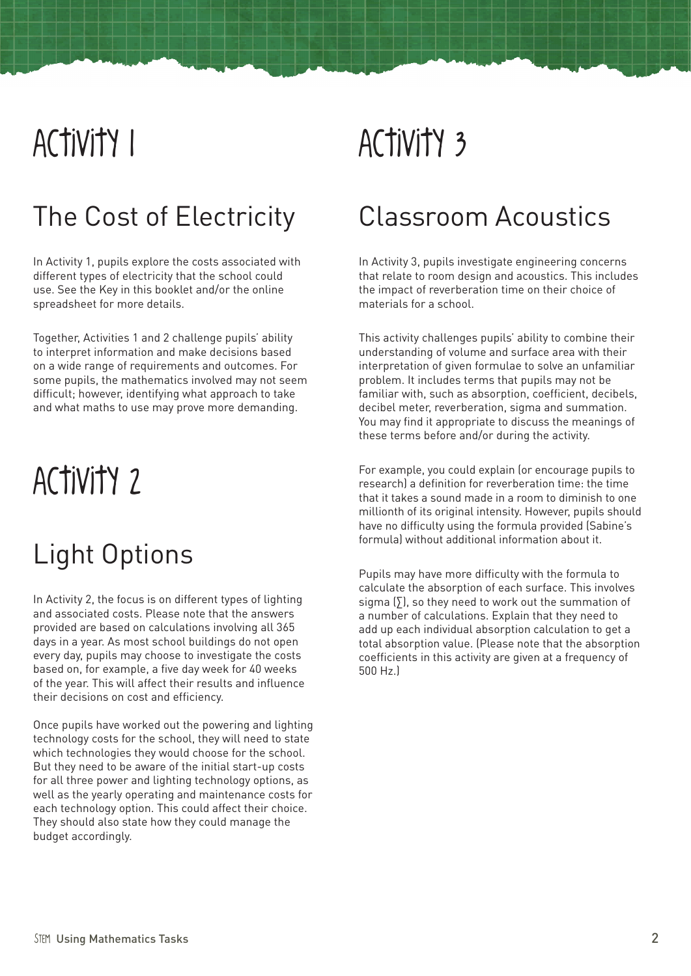### Activity 1

### The Cost of Electricity

In Activity 1, pupils explore the costs associated with different types of electricity that the school could use. See the Key in this booklet and/or the online spreadsheet for more details.

Together, Activities 1 and 2 challenge pupils' ability to interpret information and make decisions based on a wide range of requirements and outcomes. For some pupils, the mathematics involved may not seem difficult; however, identifying what approach to take and what maths to use may prove more demanding.

## Activity 2

### Light Options

In Activity 2, the focus is on different types of lighting and associated costs. Please note that the answers provided are based on calculations involving all 365 days in a year. As most school buildings do not open every day, pupils may choose to investigate the costs based on, for example, a five day week for 40 weeks of the year. This will affect their results and influence their decisions on cost and efficiency.

Once pupils have worked out the powering and lighting technology costs for the school, they will need to state which technologies they would choose for the school. But they need to be aware of the initial start-up costs for all three power and lighting technology options, as well as the yearly operating and maintenance costs for each technology option. This could affect their choice. They should also state how they could manage the budget accordingly.

# Activity 3

### Classroom Acoustics

In Activity 3, pupils investigate engineering concerns that relate to room design and acoustics. This includes the impact of reverberation time on their choice of materials for a school.

This activity challenges pupils' ability to combine their understanding of volume and surface area with their interpretation of given formulae to solve an unfamiliar problem. It includes terms that pupils may not be familiar with, such as absorption, coefficient, decibels, decibel meter, reverberation, sigma and summation. You may find it appropriate to discuss the meanings of these terms before and/or during the activity.

For example, you could explain (or encourage pupils to research) a definition for reverberation time: the time that it takes a sound made in a room to diminish to one millionth of its original intensity. However, pupils should have no difficulty using the formula provided (Sabine's formula) without additional information about it.

Pupils may have more difficulty with the formula to calculate the absorption of each surface. This involves sigma  $[5]$ , so they need to work out the summation of a number of calculations. Explain that they need to add up each individual absorption calculation to get a total absorption value. (Please note that the absorption coefficients in this activity are given at a frequency of 500 Hz.)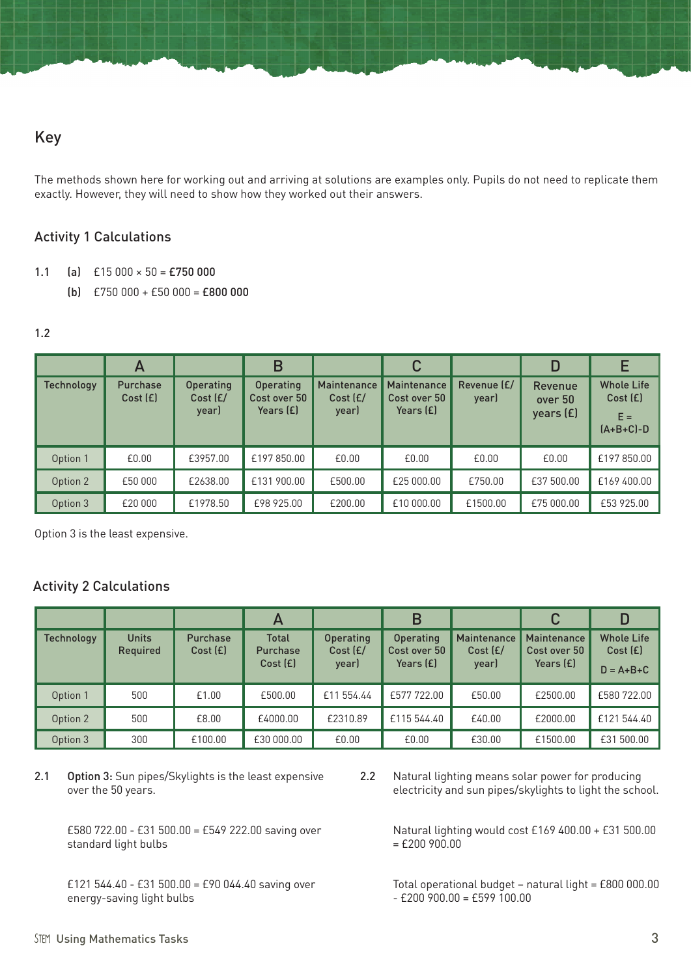The methods shown here for working out and arriving at solutions are examples only. Pupils do not need to replicate them exactly. However, they will need to show how they worked out their answers.

### Activity 1 Calculations

- 1.1 (a)  $£15000 \times 50 = £750000$ 
	- (b)  $E750000 + E50000 = E800000$

#### 1.2

|                   | $\mathsf{A}$               |                                       | B                                        |                                  | С                                                 |                      | D                                      |                                                      |
|-------------------|----------------------------|---------------------------------------|------------------------------------------|----------------------------------|---------------------------------------------------|----------------------|----------------------------------------|------------------------------------------------------|
| <b>Technology</b> | <b>Purchase</b><br>Cost(E) | <b>Operating</b><br>Cost (£/<br>year) | Operating<br>Cost over 50<br>Years $(E)$ | Maintenance<br>Cost (E/<br>year) | <b>Maintenance</b><br>Cost over 50<br>Years $(E)$ | Revenue (£/<br>year) | <b>Revenue</b><br>over 50<br>years (£) | <b>Whole Life</b><br>Cost(E)<br>$E =$<br>$[A+B+C]-D$ |
| Option 1          | £0.00                      | £3957.00                              | £197 850.00                              | £0.00                            | £0.00                                             | £0.00                | £0.00                                  | £197850.00                                           |
| Option 2          | £50,000                    | £2638.00                              | £131 900.00                              | £500.00                          | £25 000.00                                        | £750.00              | £37 500.00                             | £169 400.00                                          |
| Option 3          | £20 000                    | £1978.50                              | £98 925.00                               | £200.00                          | £10 000.00                                        | £1500.00             | £75 000.00                             | £53 925.00                                           |

Option 3 is the least expensive.

#### Activity 2 Calculations

|                   |                          |                             | $\mathsf{A}$                               |                                       | B                                      |                                  | С                                               |                                                 |
|-------------------|--------------------------|-----------------------------|--------------------------------------------|---------------------------------------|----------------------------------------|----------------------------------|-------------------------------------------------|-------------------------------------------------|
| <b>Technology</b> | <b>Units</b><br>Required | <b>Purchase</b><br>Cost (£) | <b>Total</b><br><b>Purchase</b><br>Cost(E) | <b>Operating</b><br>Cost (£/<br>year) | Operating<br>Cost over 50<br>Years (£) | Maintenance<br>Cost (£/<br>year) | <b>Maintenance</b><br>Cost over 50<br>Years (£) | <b>Whole Life</b><br>Cost(E)<br>$D = A + B + C$ |
| Option 1          | 500                      | £1.00                       | £500.00                                    | £11 554.44                            | £577722.00                             | £50.00                           | £2500.00                                        | £580722.00                                      |
| Option 2          | 500                      | £8.00                       | £4000.00                                   | £2310.89                              | £115 544.40                            | £40.00                           | £2000.00                                        | £121 544.40                                     |
| Option 3          | 300                      | £100.00                     | £30 000.00                                 | £0.00                                 | £0.00                                  | £30.00                           | £1500.00                                        | £31 500.00                                      |

2.1 Option 3: Sun pipes/Skylights is the least expensive over the 50 years.

> £580 722.00 - £31 500.00 = £549 222.00 saving over standard light bulbs

 £121 544.40 - £31 500.00 = £90 044.40 saving over energy-saving light bulbs

2.2 Natural lighting means solar power for producing electricity and sun pipes/skylights to light the school.

> Natural lighting would cost £169 400.00 + £31 500.00  $=$  £200 900.00

> Total operational budget – natural light = £800 000.00  $- f$ 200 900.00 =  $f$ 599 100.00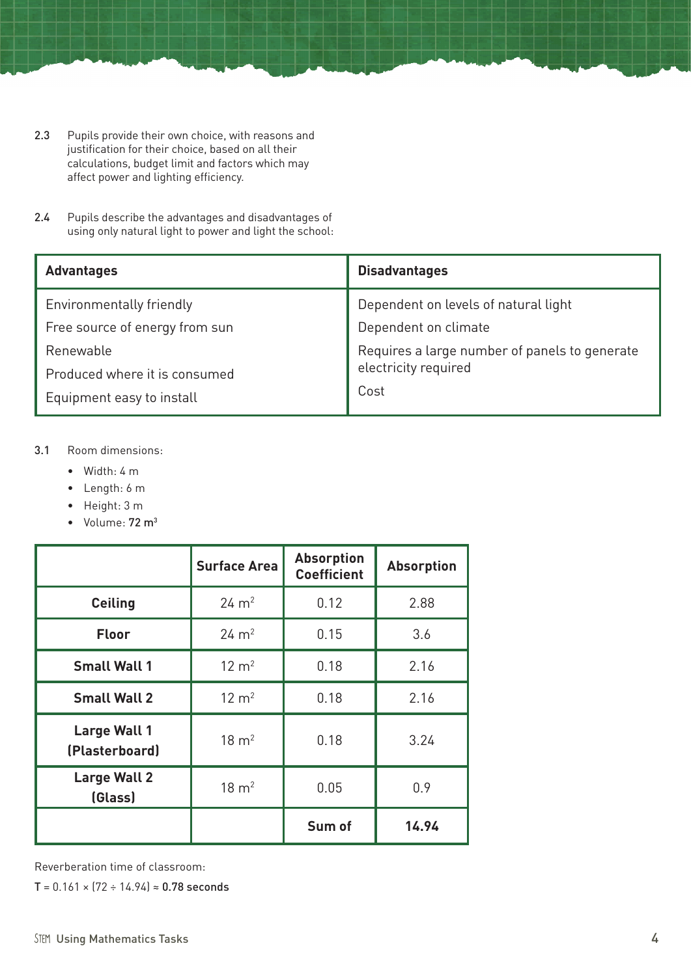- 2.3 Pupils provide their own choice, with reasons and justification for their choice, based on all their calculations, budget limit and factors which may affect power and lighting efficiency.
- 2.4 Pupils describe the advantages and disadvantages of using only natural light to power and light the school:

| <b>Advantages</b>              | <b>Disadvantages</b>                          |  |
|--------------------------------|-----------------------------------------------|--|
| Environmentally friendly       | Dependent on levels of natural light          |  |
| Free source of energy from sun | Dependent on climate                          |  |
| Renewable                      | Requires a large number of panels to generate |  |
| Produced where it is consumed  | electricity required                          |  |
| Equipment easy to install      | Cost                                          |  |

#### 3.1 Room dimensions:

- • Width: 4 m
- • Length: 6 m
- • Height: 3 m
- Volume: 72 m<sup>3</sup>

|                                       | <b>Surface Area</b> | <b>Absorption</b><br><b>Coefficient</b> | <b>Absorption</b> |
|---------------------------------------|---------------------|-----------------------------------------|-------------------|
| <b>Ceiling</b>                        | $24 \text{ m}^2$    | 0.12                                    | 2.88              |
| <b>Floor</b>                          | $24 \text{ m}^2$    | 0.15                                    | 3.6               |
| <b>Small Wall 1</b>                   | $12 \text{ m}^2$    | 0.18                                    | 2.16              |
| <b>Small Wall 2</b>                   | $12 \text{ m}^2$    | 0.18                                    | 2.16              |
| <b>Large Wall 1</b><br>(Plasterboard) | $18 \text{ m}^2$    | 0.18                                    | 3.24              |
| <b>Large Wall 2</b><br>(Glass)        | $18 \text{ m}^2$    | 0.05                                    | 0.9               |
|                                       |                     | Sum of                                  | 14.94             |

Reverberation time of classroom:

T =  $0.161 \times (72 \div 14.94) \approx 0.78$  seconds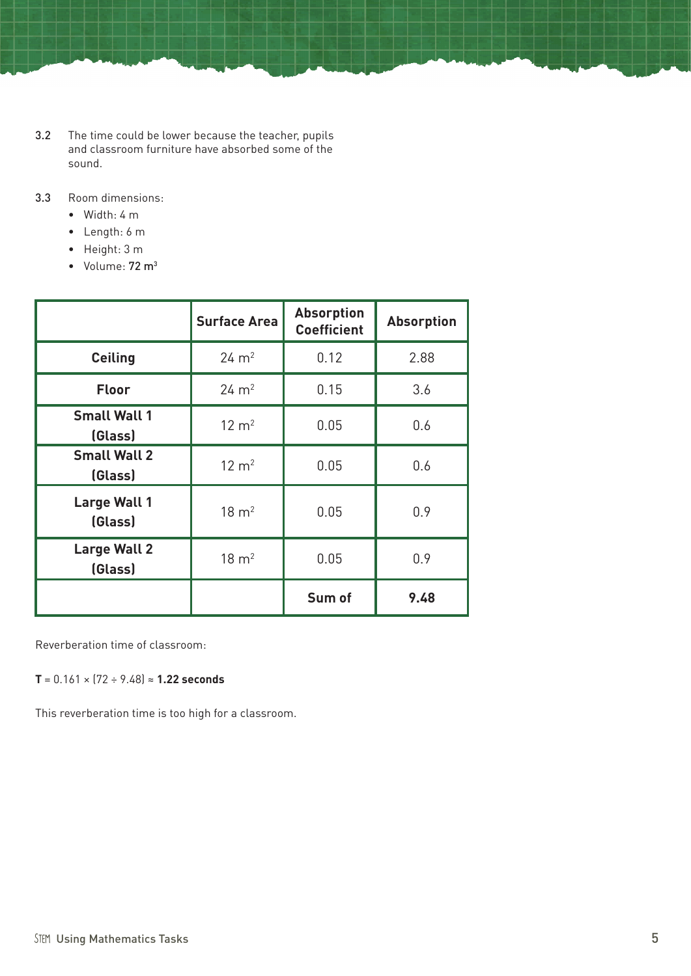- 3.2 The time could be lower because the teacher, pupils and classroom furniture have absorbed some of the sound.
- 3.3 Room dimensions:
	- $\bullet$  Width: 4 m
	- • Length: 6 m
	- • Height: 3 m
	- $\bullet$  Volume:  $72 \text{ m}^3$

|                                | <b>Surface Area</b> | <b>Absorption</b><br><b>Coefficient</b> | <b>Absorption</b> |
|--------------------------------|---------------------|-----------------------------------------|-------------------|
| <b>Ceiling</b>                 | $24 \, \text{m}^2$  | 0.12                                    | 2.88              |
| <b>Floor</b>                   | $24 \, \text{m}^2$  | 0.15                                    | 3.6               |
| <b>Small Wall 1</b><br>(Glass) | $12 \text{ m}^2$    | 0.05                                    | 0.6               |
| <b>Small Wall 2</b><br>(Glass) | $12 \text{ m}^2$    | 0.05                                    | 0.6               |
| <b>Large Wall 1</b><br>(Glass) | $18 \text{ m}^2$    | 0.05                                    | 0.9               |
| <b>Large Wall 2</b><br>(Glass) | $18 \text{ m}^2$    | 0.05                                    | 0.9               |
|                                |                     | Sum of                                  | 9.48              |

Reverberation time of classroom:

**T** = 0.161 × (72 ÷ 9.48) ≈ **1.22 seconds**

This reverberation time is too high for a classroom.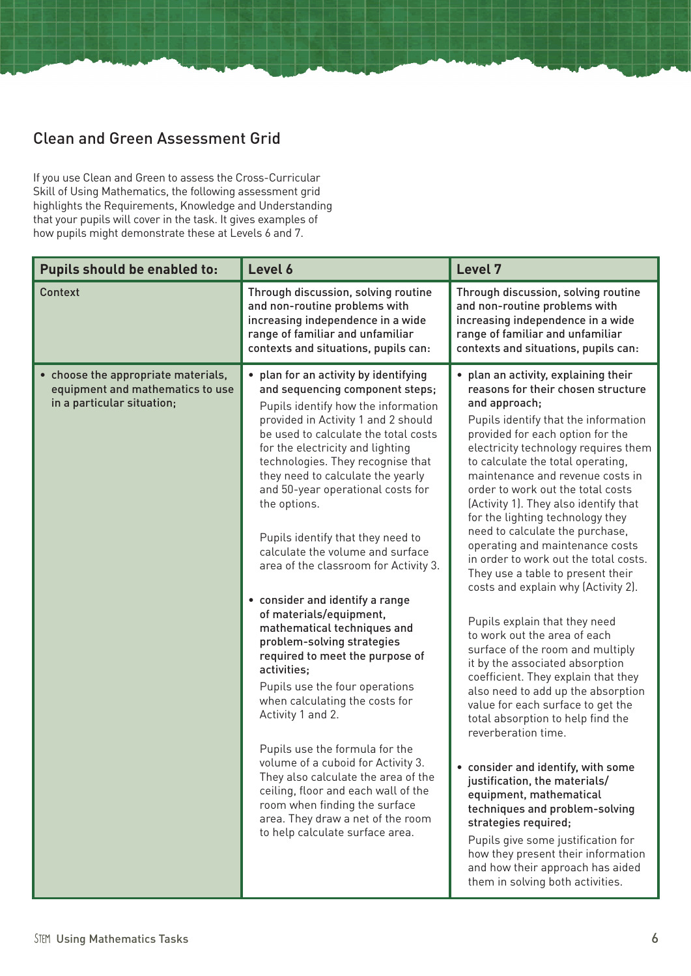### Clean and Green Assessment Grid

If you use Clean and Green to assess the Cross-Curricular Skill of Using Mathematics, the following assessment grid highlights the Requirements, Knowledge and Understanding that your pupils will cover in the task. It gives examples of how pupils might demonstrate these at Levels 6 and 7.

| Pupils should be enabled to:                                                                          | Level 6                                                                                                                                                                                                                                                                                                                                                                                                                                                                                                                                                                                                                                                                                                                              | Level 7                                                                                                                                                                                                                                                                                                                                                                                                                                                                                                                                                                                                                                                                                                                                                                                                                                                         |  |
|-------------------------------------------------------------------------------------------------------|--------------------------------------------------------------------------------------------------------------------------------------------------------------------------------------------------------------------------------------------------------------------------------------------------------------------------------------------------------------------------------------------------------------------------------------------------------------------------------------------------------------------------------------------------------------------------------------------------------------------------------------------------------------------------------------------------------------------------------------|-----------------------------------------------------------------------------------------------------------------------------------------------------------------------------------------------------------------------------------------------------------------------------------------------------------------------------------------------------------------------------------------------------------------------------------------------------------------------------------------------------------------------------------------------------------------------------------------------------------------------------------------------------------------------------------------------------------------------------------------------------------------------------------------------------------------------------------------------------------------|--|
| Context                                                                                               | Through discussion, solving routine<br>and non-routine problems with<br>increasing independence in a wide<br>range of familiar and unfamiliar<br>contexts and situations, pupils can:                                                                                                                                                                                                                                                                                                                                                                                                                                                                                                                                                | Through discussion, solving routine<br>and non-routine problems with<br>increasing independence in a wide<br>range of familiar and unfamiliar<br>contexts and situations, pupils can:                                                                                                                                                                                                                                                                                                                                                                                                                                                                                                                                                                                                                                                                           |  |
| • choose the appropriate materials,<br>equipment and mathematics to use<br>in a particular situation; | • plan for an activity by identifying<br>and sequencing component steps;<br>Pupils identify how the information<br>provided in Activity 1 and 2 should<br>be used to calculate the total costs<br>for the electricity and lighting<br>technologies. They recognise that<br>they need to calculate the yearly<br>and 50-year operational costs for<br>the options.<br>Pupils identify that they need to<br>calculate the volume and surface<br>area of the classroom for Activity 3.<br>• consider and identify a range<br>of materials/equipment,<br>mathematical techniques and<br>problem-solving strategies<br>required to meet the purpose of<br>activities;<br>Pupils use the four operations<br>when calculating the costs for | • plan an activity, explaining their<br>reasons for their chosen structure<br>and approach;<br>Pupils identify that the information<br>provided for each option for the<br>electricity technology requires them<br>to calculate the total operating,<br>maintenance and revenue costs in<br>order to work out the total costs<br>(Activity 1). They also identify that<br>for the lighting technology they<br>need to calculate the purchase,<br>operating and maintenance costs<br>in order to work out the total costs.<br>They use a table to present their<br>costs and explain why (Activity 2).<br>Pupils explain that they need<br>to work out the area of each<br>surface of the room and multiply<br>it by the associated absorption<br>coefficient. They explain that they<br>also need to add up the absorption<br>value for each surface to get the |  |
|                                                                                                       | Activity 1 and 2.<br>Pupils use the formula for the<br>volume of a cuboid for Activity 3.<br>They also calculate the area of the<br>ceiling, floor and each wall of the<br>room when finding the surface<br>area. They draw a net of the room<br>to help calculate surface area.                                                                                                                                                                                                                                                                                                                                                                                                                                                     | total absorption to help find the<br>reverberation time.<br>• consider and identify, with some<br>justification, the materials/<br>equipment, mathematical<br>techniques and problem-solving<br>strategies required;<br>Pupils give some justification for<br>how they present their information<br>and how their approach has aided<br>them in solving both activities.                                                                                                                                                                                                                                                                                                                                                                                                                                                                                        |  |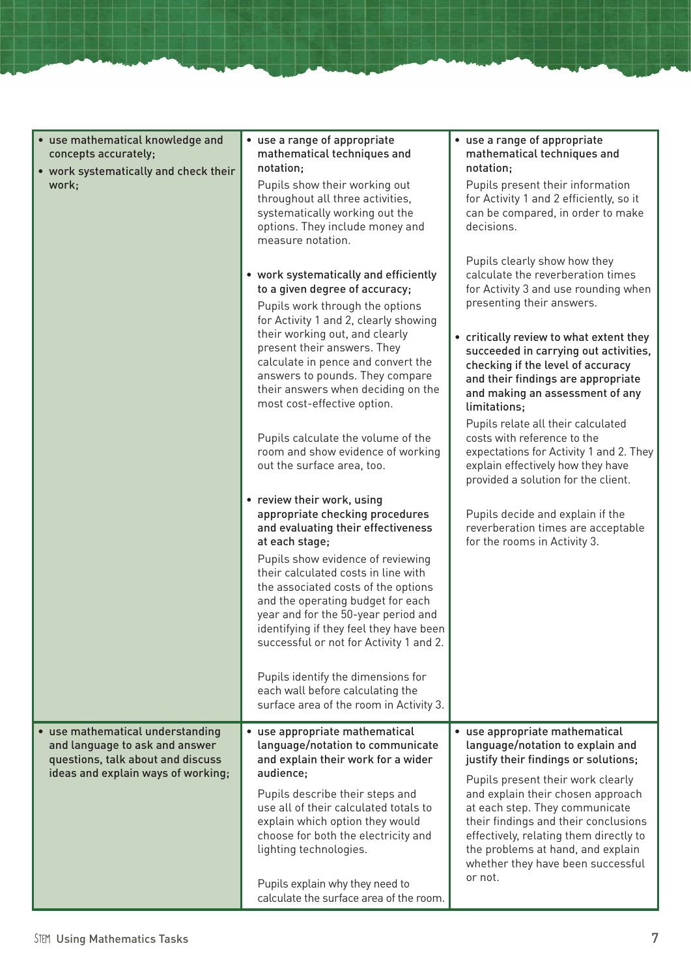| • use mathematical knowledge and<br>concepts accurately;<br>• work systematically and check their                                             | • use a range of appropriate<br>mathematical techniques and<br>notation;                                                                                                                                                                                                          | • use a range of appropriate<br>mathematical techniques and<br>notation;                                                                                                                                                                                             |
|-----------------------------------------------------------------------------------------------------------------------------------------------|-----------------------------------------------------------------------------------------------------------------------------------------------------------------------------------------------------------------------------------------------------------------------------------|----------------------------------------------------------------------------------------------------------------------------------------------------------------------------------------------------------------------------------------------------------------------|
| work;                                                                                                                                         | Pupils show their working out<br>throughout all three activities,<br>systematically working out the<br>options. They include money and<br>measure notation.                                                                                                                       | Pupils present their information<br>for Activity 1 and 2 efficiently, so it<br>can be compared, in order to make<br>decisions.                                                                                                                                       |
|                                                                                                                                               | • work systematically and efficiently<br>to a given degree of accuracy;<br>Pupils work through the options<br>for Activity 1 and 2, clearly showing                                                                                                                               | Pupils clearly show how they<br>calculate the reverberation times<br>for Activity 3 and use rounding when<br>presenting their answers.                                                                                                                               |
|                                                                                                                                               | their working out, and clearly<br>present their answers. They<br>calculate in pence and convert the<br>answers to pounds. They compare<br>their answers when deciding on the<br>most cost-effective option.                                                                       | • critically review to what extent they<br>succeeded in carrying out activities,<br>checking if the level of accuracy<br>and their findings are appropriate<br>and making an assessment of any<br>limitations:                                                       |
|                                                                                                                                               | Pupils calculate the volume of the<br>room and show evidence of working<br>out the surface area, too.                                                                                                                                                                             | Pupils relate all their calculated<br>costs with reference to the<br>expectations for Activity 1 and 2. They<br>explain effectively how they have<br>provided a solution for the client.                                                                             |
|                                                                                                                                               | • review their work, using<br>appropriate checking procedures<br>and evaluating their effectiveness<br>at each stage;                                                                                                                                                             | Pupils decide and explain if the<br>reverberation times are acceptable<br>for the rooms in Activity 3.                                                                                                                                                               |
|                                                                                                                                               | Pupils show evidence of reviewing<br>their calculated costs in line with<br>the associated costs of the options<br>and the operating budget for each<br>year and for the 50-year period and<br>identifying if they feel they have been<br>successful or not for Activity 1 and 2. |                                                                                                                                                                                                                                                                      |
|                                                                                                                                               | Pupils identify the dimensions for<br>each wall before calculating the<br>surface area of the room in Activity 3.                                                                                                                                                                 |                                                                                                                                                                                                                                                                      |
| • use mathematical understanding<br>and language to ask and answer<br>questions, talk about and discuss<br>ideas and explain ways of working; | • use appropriate mathematical<br>language/notation to communicate<br>and explain their work for a wider<br>audience:                                                                                                                                                             | • use appropriate mathematical<br>language/notation to explain and<br>justify their findings or solutions;                                                                                                                                                           |
|                                                                                                                                               | Pupils describe their steps and<br>use all of their calculated totals to<br>explain which option they would<br>choose for both the electricity and<br>lighting technologies.                                                                                                      | Pupils present their work clearly<br>and explain their chosen approach<br>at each step. They communicate<br>their findings and their conclusions<br>effectively, relating them directly to<br>the problems at hand, and explain<br>whether they have been successful |
|                                                                                                                                               | Pupils explain why they need to<br>calculate the surface area of the room.                                                                                                                                                                                                        | or not.                                                                                                                                                                                                                                                              |